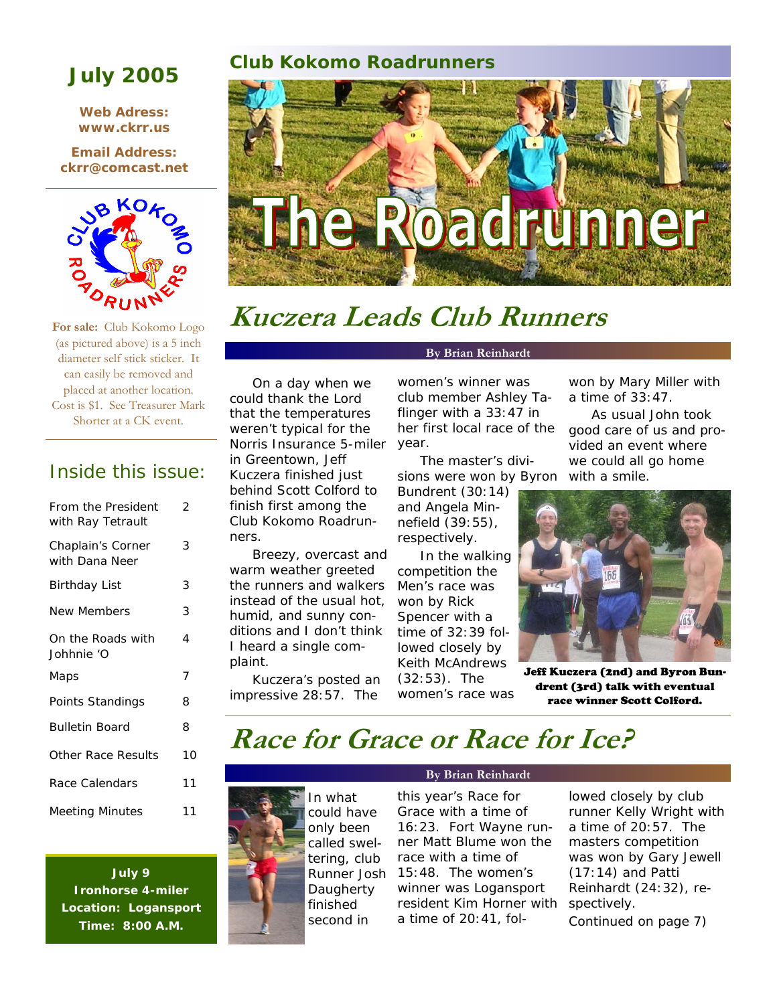**Web Adress: www.ckrr.us** 

**Email Address: ckrr@comcast.net** 



**For sale:** Club Kokomo Logo (as pictured above) is a 5 inch diameter self stick sticker. It can easily be removed and placed at another location. Cost is \$1. See Treasurer Mark Shorter at a CK event.

### Inside this issue:

| From the President<br>with Ray Tetrault | 2  |
|-----------------------------------------|----|
| Chaplain's Corner<br>with Dana Neer     | 3  |
| <b>Birthday List</b>                    | 3  |
| <b>New Members</b>                      | 3  |
| On the Roads with<br>Johhnie 'O         | 4  |
| Maps                                    | 7  |
| Points Standings                        | 8  |
| <b>Bulletin Board</b>                   | 8  |
| Other Race Results                      | 10 |
| Race Calendars                          | 11 |
| <b>Meeting Minutes</b>                  | 11 |

**July 9 Ironhorse 4-miler Location: Logansport Time: 8:00 A.M.** 

### **Club Kokomo Roadrunners July 2005**



# **Kuczera Leads Club Runners**

On a day when we could thank the Lord that the temperatures weren't typical for the Norris Insurance 5-miler in Greentown, Jeff Kuczera finished just behind Scott Colford to finish first among the Club Kokomo Roadrunners.

Breezy, overcast and warm weather greeted the runners and walkers instead of the usual hot, humid, and sunny conditions and I don't think I heard a single complaint.

Kuczera's posted an impressive 28:57. The

### **By Brian Reinhardt**

women's winner was club member Ashley Taflinger with a 33:47 in her first local race of the year.

The master's divisions were won by Byron

Bundrent (30:14) and Angela Minnefield (39:55), respectively.

In the walking competition the Men's race was won by Rick Spencer with a time of 32:39 followed closely by Keith McAndrews (32:53). The women's race was won by Mary Miller with a time of 33:47.

As usual John took good care of us and provided an event where we could all go home with a smile.



Jeff Kuczera (2nd) and Byron Bundrent (3rd) talk with eventual race winner Scott Colford.

### **Race for Grace or Race for Ice?**

In what could have only been called sweltering, club Runner Josh **Daugherty** finished second in

### **By Brian Reinhardt**

this year's Race for Grace with a time of 16:23. Fort Wayne runner Matt Blume won the race with a time of 15:48. The women's winner was Logansport resident Kim Horner with a time of 20:41, fol-

lowed closely by club runner Kelly Wright with a time of 20:57. The masters competition was won by Gary Jewell (17:14) and Patti Reinhardt (24:32), respectively. Continued on page 7)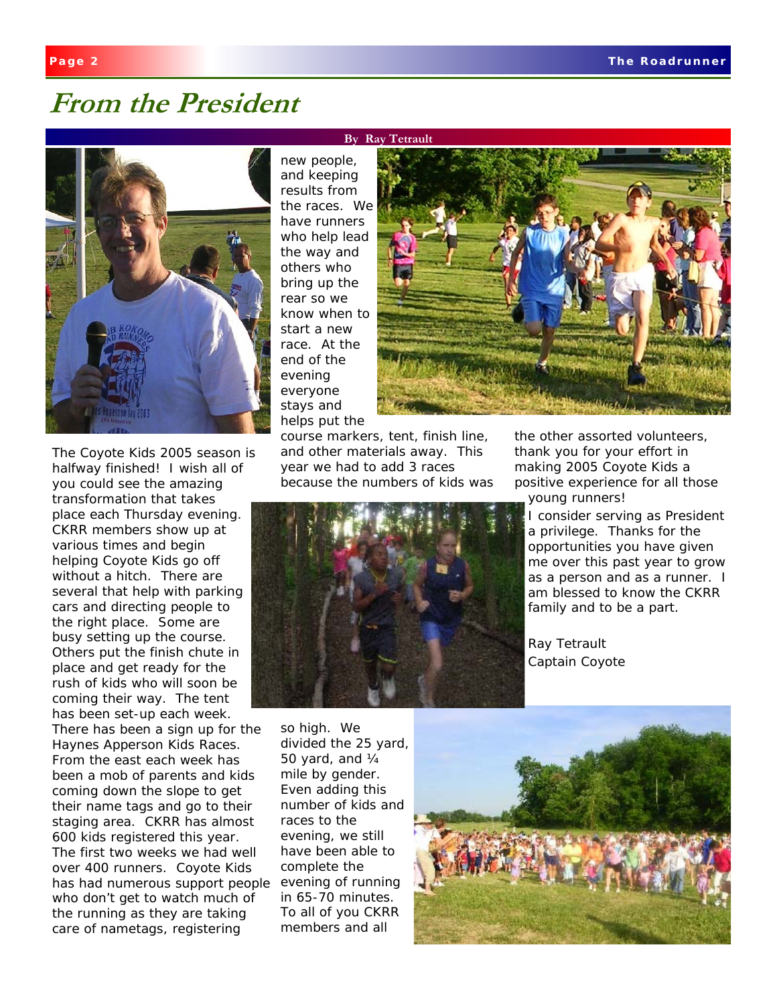### **From the President**



The Coyote Kids 2005 season is halfway finished! I wish all of you could see the amazing transformation that takes place each Thursday evening. CKRR members show up at various times and begin helping Coyote Kids go off without a hitch. There are several that help with parking cars and directing people to the right place. Some are busy setting up the course. Others put the finish chute in place and get ready for the rush of kids who will soon be coming their way. The tent has been set-up each week. There has been a sign up for the Haynes Apperson Kids Races. From the east each week has been a mob of parents and kids coming down the slope to get their name tags and go to their staging area. CKRR has almost 600 kids registered this year. The first two weeks we had well over 400 runners. Coyote Kids has had numerous support people who don't get to watch much of the running as they are taking care of nametags, registering

#### **By Ray Tetrault**

new people, and keeping results from the races. We have runners who help lead the way and others who bring up the rear so we know when to start a new race. At the end of the evening everyone stays and helps put the



course markers, tent, finish line, and other materials away. This year we had to add 3 races because the numbers of kids was



the other assorted volunteers, thank you for your effort in making 2005 Coyote Kids a positive experience for all those young runners!

I consider serving as President a privilege. Thanks for the opportunities you have given me over this past year to grow as a person and as a runner. I am blessed to know the CKRR family and to be a part.

Ray Tetrault Captain Coyote

so high. We divided the 25 yard, 50 yard, and ¼ mile by gender. Even adding this number of kids and races to the evening, we still have been able to complete the evening of running in 65-70 minutes. To all of you CKRR members and all

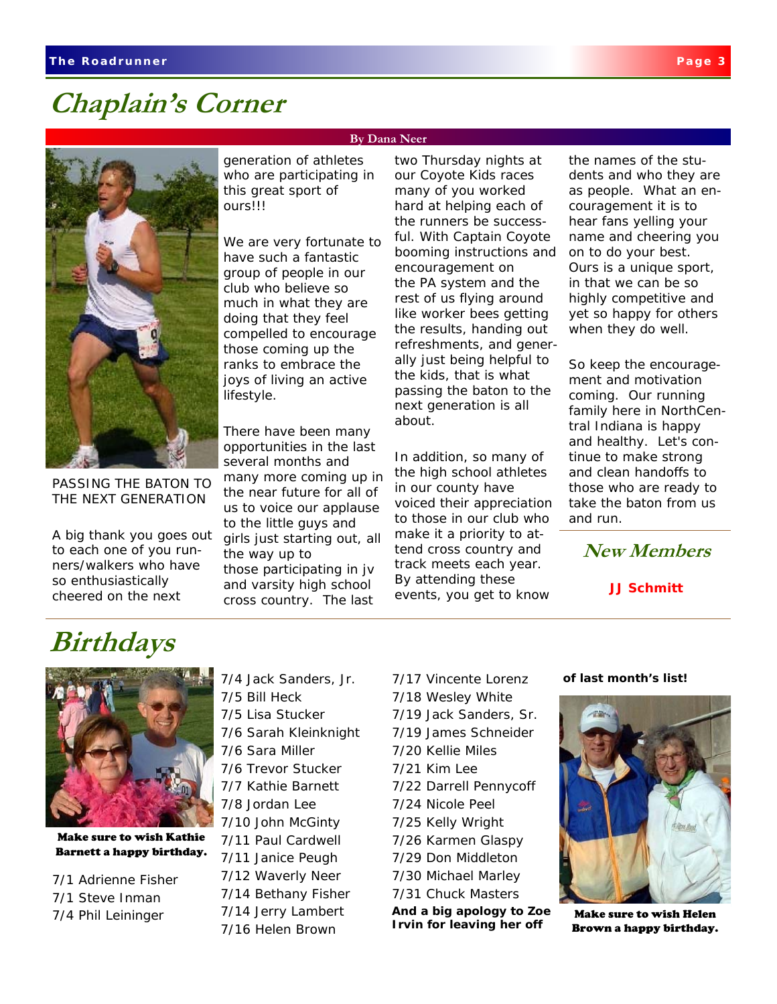### **Chaplain's Corner**



PASSING THE BATON TO THE NEXT GENERATION

A big thank you goes out to each one of you runners/walkers who have so enthusiastically cheered on the next

generation of athletes who are participating in this great sport of ours!!!

**By Dana Neer** 

We are very fortunate to have such a fantastic group of people in our club who believe so much in what they are doing that they feel compelled to encourage those coming up the ranks to embrace the joys of living an active lifestyle.

There have been many opportunities in the last several months and many more coming up in the near future for all of us to voice our applause to the little guys and girls just starting out, all the way up to those participating in jv and varsity high school cross country. The last

two Thursday nights at our Coyote Kids races many of you worked hard at helping each of the runners be successful. With Captain Coyote booming instructions and encouragement on the PA system and the rest of us flying around like worker bees getting the results, handing out refreshments, and generally just being helpful to the kids, that is what passing the baton to the next generation is all about.

In addition, so many of the high school athletes in our county have voiced their appreciation to those in our club who make it a priority to attend cross country and track meets each year. By attending these events, you get to know

the names of the students and who they are as people. What an encouragement it is to hear fans yelling your name and cheering you on to do your best. Ours is a unique sport, in that we can be so highly competitive and yet so happy for others when they do well.

So keep the encouragement and motivation coming. Our running family here in NorthCentral Indiana is happy and healthy. Let's continue to make strong and clean handoffs to those who are ready to take the baton from us and run.

**New Members** 

**JJ Schmitt** 

### **Birthdays**



Make sure to wish Kathie Barnett a happy birthday.

7/1 Adrienne Fisher 7/1 Steve Inman 7/4 Phil Leininger

7/4 Jack Sanders, Jr. 7/5 Bill Heck 7/5 Lisa Stucker 7/6 Sarah Kleinknight 7/6 Sara Miller 7/6 Trevor Stucker 7/7 Kathie Barnett 7/8 Jordan Lee 7/10 John McGinty 7/11 Paul Cardwell 7/11 Janice Peugh 7/12 Waverly Neer 7/14 Bethany Fisher 7/14 Jerry Lambert 7/16 Helen Brown

7/17 Vincente Lorenz 7/18 Wesley White 7/19 Jack Sanders, Sr. 7/19 James Schneider 7/20 Kellie Miles 7/21 Kim Lee 7/22 Darrell Pennycoff 7/24 Nicole Peel 7/25 Kelly Wright 7/26 Karmen Glaspy 7/29 Don Middleton 7/30 Michael Marley 7/31 Chuck Masters

**And a big apology to Zoe Irvin for leaving her off** 

#### **of last month's list!**



Make sure to wish Helen Brown a happy birthday.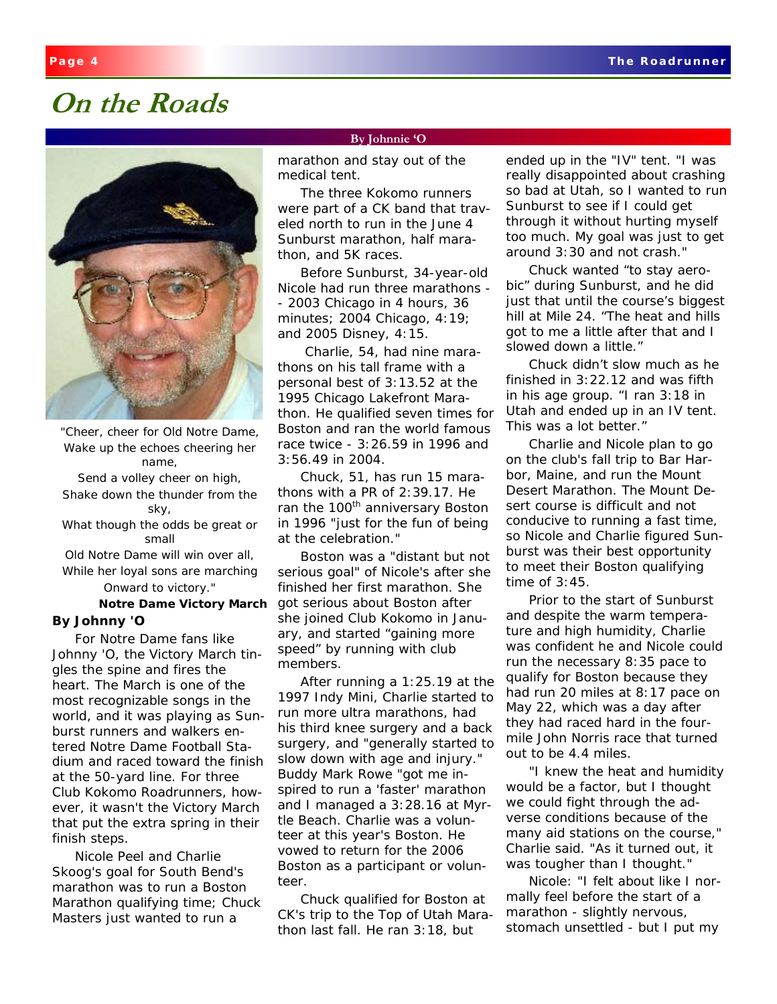### **On the Roads**



*"Cheer, cheer for Old Notre Dame, Wake up the echoes cheering her name, Send a volley cheer on high, Shake down the thunder from the sky, What though the odds be great or small Old Notre Dame will win over all,* 

*While her loyal sons are marching Onward to victory."* 

#### *Notre Dame Victory March*  **By Johnny 'O**

For Notre Dame fans like Johnny 'O, the *Victory March* tingles the spine and fires the heart. The *March* is one of the most recognizable songs in the world, and it was playing as Sunburst runners and walkers entered Notre Dame Football Stadium and raced toward the finish at the 50-yard line. For three Club Kokomo Roadrunners, however, it wasn't the *Victory March* that put the extra spring in their finish steps.

Nicole Peel and Charlie Skoog's goal for South Bend's marathon was to run a Boston Marathon qualifying time; Chuck Masters just wanted to run a

#### **By Johnnie 'O**

marathon and stay out of the medical tent.

The three Kokomo runners were part of a CK band that traveled north to run in the June 4 Sunburst marathon, half marathon, and 5K races.

Before Sunburst, 34-year-old Nicole had run three marathons - - 2003 Chicago in 4 hours, 36 minutes; 2004 Chicago, 4:19; and 2005 Disney, 4:15.

 Charlie, 54, had nine marathons on his tall frame with a personal best of 3:13.52 at the 1995 Chicago Lakefront Marathon. He qualified seven times for Boston and ran the world famous race twice - 3:26.59 in 1996 and 3:56.49 in 2004.

Chuck, 51, has run 15 marathons with a PR of 2:39.17. He ran the 100<sup>th</sup> anniversary Boston in 1996 "just for the fun of being at the celebration."

Boston was a "distant but not serious goal" of Nicole's after she finished her first marathon. She got serious about Boston after she joined Club Kokomo in January, and started "gaining more speed" by running with club members.

After running a 1:25.19 at the 1997 Indy Mini, Charlie started to run more ultra marathons, had his third knee surgery and a back surgery, and "generally started to slow down with age and injury." Buddy Mark Rowe "got me inspired to run a 'faster' marathon and I managed a 3:28.16 at Myrtle Beach. Charlie was a volunteer at this year's Boston. He vowed to return for the 2006 Boston as a participant or volunteer.

Chuck qualified for Boston at CK's trip to the Top of Utah Marathon last fall. He ran 3:18, but

ended up in the "IV" tent. "I was really disappointed about crashing so bad at Utah, so I wanted to run Sunburst to see if I could get through it without hurting myself too much. My goal was just to get around 3:30 and not crash."

Chuck wanted "to stay aerobic" during Sunburst, and he did just that until the course's biggest hill at Mile 24. "The heat and hills got to me a little after that and I slowed down a little."

Chuck didn't slow much as he finished in 3:22.12 and was fifth in his age group. "I ran 3:18 in Utah and ended up in an IV tent. This was a lot better."

Charlie and Nicole plan to go on the club's fall trip to Bar Harbor, Maine, and run the Mount Desert Marathon. The Mount Desert course is difficult and not conducive to running a fast time, so Nicole and Charlie figured Sunburst was their best opportunity to meet their Boston qualifying time of 3:45.

Prior to the start of Sunburst and despite the warm temperature and high humidity, Charlie was confident he and Nicole could run the necessary 8:35 pace to qualify for Boston because they had run 20 miles at 8:17 pace on May 22, which was a day after they had raced hard in the fourmile John Norris race that turned out to be 4.4 miles.

"I knew the heat and humidity would be a factor, but I thought we could fight through the adverse conditions because of the many aid stations on the course," Charlie said. "As it turned out, it was tougher than I thought."

Nicole: "I felt about like I normally feel before the start of a marathon - slightly nervous, stomach unsettled - but I put my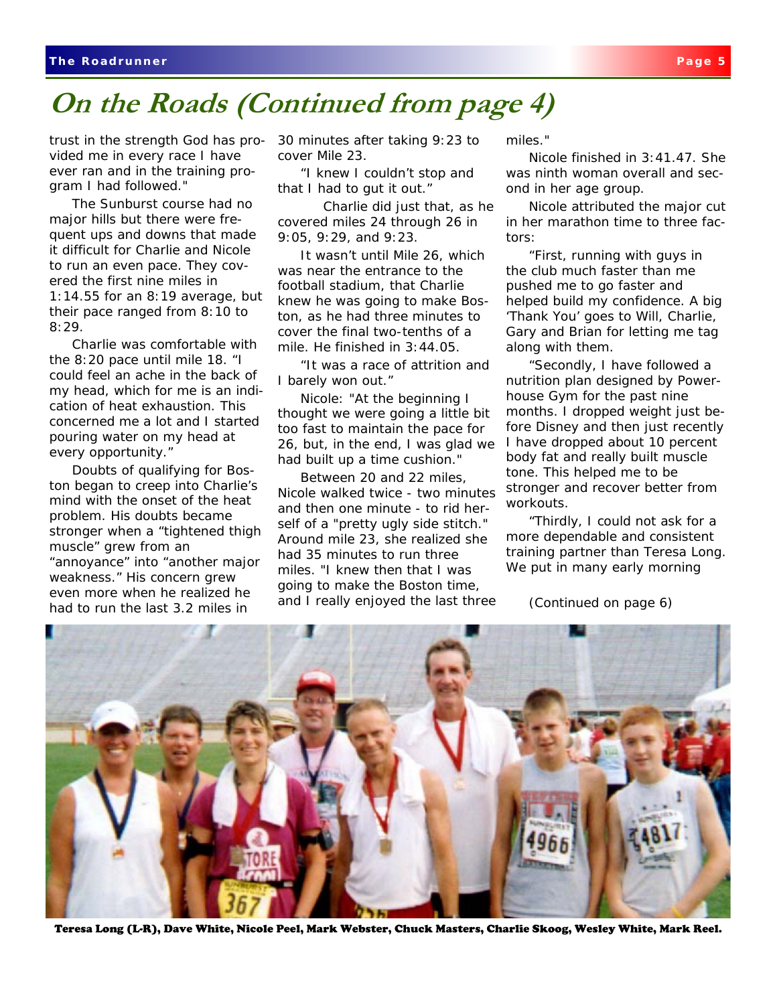### **On the Roads (Continued from page 4)**

trust in the strength God has provided me in every race I have ever ran and in the training program I had followed."

The Sunburst course had no major hills but there were frequent ups and downs that made it difficult for Charlie and Nicole to run an even pace. They covered the first nine miles in 1:14.55 for an 8:19 average, but their pace ranged from 8:10 to 8:29.

Charlie was comfortable with the 8:20 pace until mile 18. "I could feel an ache in the back of my head, which for me is an indication of heat exhaustion. This concerned me a lot and I started pouring water on my head at every opportunity."

Doubts of qualifying for Boston began to creep into Charlie's mind with the onset of the heat problem. His doubts became stronger when a "tightened thigh muscle" grew from an "annoyance" into "another major weakness." His concern grew even more when he realized he had to run the last 3.2 miles in

30 minutes after taking 9:23 to cover Mile 23.

"I knew I couldn't stop and that I had to gut it out."

Charlie did just that, as he covered miles 24 through 26 in 9:05, 9:29, and 9:23.

It wasn't until Mile 26, which was near the entrance to the football stadium, that Charlie knew he was going to make Boston, as he had three minutes to cover the final two-tenths of a mile. He finished in 3:44.05.

"It was a race of attrition and I barely won out."

Nicole: "At the beginning I thought we were going a little bit too fast to maintain the pace for 26, but, in the end, I was glad we had built up a time cushion."

Between 20 and 22 miles, Nicole walked twice - two minutes and then one minute - to rid herself of a "pretty ugly side stitch." Around mile 23, she realized she had 35 minutes to run three miles. "I knew then that I was going to make the Boston time, and I really enjoyed the last three

miles."

Nicole finished in 3:41.47. She was ninth woman overall and second in her age group.

Nicole attributed the major cut in her marathon time to three factors:

"First, running with guys in the club much faster than me pushed me to go faster and helped build my confidence. A big 'Thank You' goes to Will, Charlie, Gary and Brian for letting me tag along with them.

"Secondly, I have followed a nutrition plan designed by Powerhouse Gym for the past nine months. I dropped weight just before Disney and then just recently I have dropped about 10 percent body fat and really built muscle tone. This helped me to be stronger and recover better from workouts.

"Thirdly, I could not ask for a more dependable and consistent training partner than Teresa Long. We put in many early morning

(Continued on page 6)



Teresa Long (L-R), Dave White, Nicole Peel, Mark Webster, Chuck Masters, Charlie Skoog, Wesley White, Mark Reel.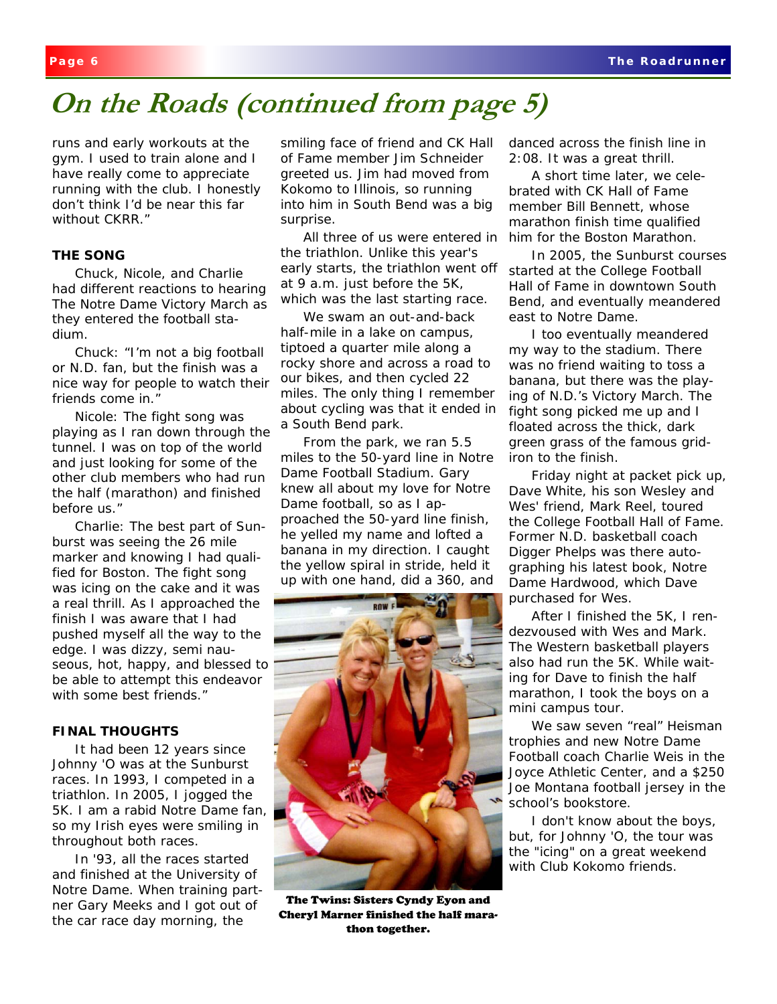# **On the Roads (continued from page 5)**

runs and early workouts at the gym. I used to train alone and I have really come to appreciate running with the club. I honestly don't think I'd be near this far without CKRR."

### **THE SONG**

Chuck, Nicole, and Charlie had different reactions to hearing *The Notre Dame Victory March* as they entered the football stadium.

Chuck: "I'm not a big football or N.D. fan, but the finish was a nice way for people to watch their friends come in."

Nicole: The fight song was playing as I ran down through the tunnel. I was on top of the world and just looking for some of the other club members who had run the half (marathon) and finished before us."

Charlie: The best part of Sunburst was seeing the 26 mile marker and knowing I had qualified for Boston. The fight song was icing on the cake and it was a real thrill. As I approached the finish I was aware that I had pushed myself all the way to the edge. I was dizzy, semi nauseous, hot, happy, and blessed to be able to attempt this endeavor with some best friends."

### **FINAL THOUGHTS**

It had been 12 years since Johnny 'O was at the Sunburst races. In 1993, I competed in a triathlon. In 2005, I jogged the 5K. I am a rabid Notre Dame fan, so my Irish eyes were smiling in throughout both races.

In '93, all the races started and finished at the University of Notre Dame. When training partner Gary Meeks and I got out of the car race day morning, the

smiling face of friend and CK Hall of Fame member Jim Schneider greeted us. Jim had moved from Kokomo to Illinois, so running into him in South Bend was a big surprise.

All three of us were entered in the triathlon. Unlike this year's early starts, the triathlon went off at 9 a.m. just before the 5K, which was the last starting race.

We swam an out-and-back half-mile in a lake on campus, tiptoed a quarter mile along a rocky shore and across a road to our bikes, and then cycled 22 miles. The only thing I remember about cycling was that it ended in a South Bend park.

From the park, we ran 5.5 miles to the 50-yard line in Notre Dame Football Stadium. Gary knew all about my love for Notre Dame football, so as I approached the 50-yard line finish, he yelled my name and lofted a banana in my direction. I caught the yellow spiral in stride, held it up with one hand, did a 360, and



The Twins: Sisters Cyndy Eyon and Cheryl Marner finished the half marathon together.

danced across the finish line in 2:08. It was a great thrill.

A short time later, we celebrated with CK Hall of Fame member Bill Bennett, whose marathon finish time qualified him for the Boston Marathon.

In 2005, the Sunburst courses started at the College Football Hall of Fame in downtown South Bend, and eventually meandered east to Notre Dame.

I too eventually meandered my way to the stadium. There was no friend waiting to toss a banana, but there was the playing of N.D.'s *Victory March*. The fight song picked me up and I floated across the thick, dark green grass of the famous gridiron to the finish.

Friday night at packet pick up, Dave White, his son Wesley and Wes' friend, Mark Reel, toured the College Football Hall of Fame. Former N.D. basketball coach Digger Phelps was there autographing his latest book, *Notre Dame Hardwood*, which Dave purchased for Wes.

After I finished the 5K, I rendezvoused with Wes and Mark. The Western basketball players also had run the 5K. While waiting for Dave to finish the half marathon, I took the boys on a mini campus tour.

We saw seven "real" Heisman trophies and new Notre Dame Football coach Charlie Weis in the Joyce Athletic Center, and a \$250 Joe Montana football jersey in the school's bookstore.

I don't know about the boys, but, for Johnny 'O, the tour was the "icing" on a great weekend with Club Kokomo friends.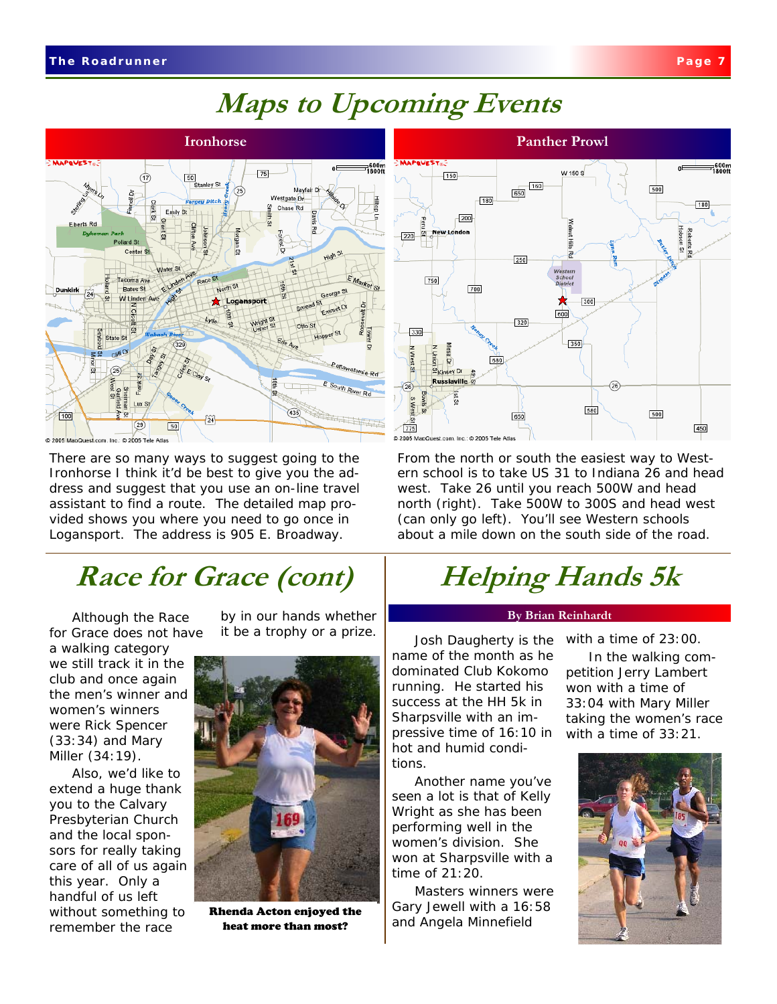# **Maps to Upcoming Events**



There are so many ways to suggest going to the Ironhorse I think it'd be best to give you the address and suggest that you use an on-line travel assistant to find a route. The detailed map provided shows you where you need to go once in Logansport. The address is 905 E. Broadway.

### **Race for Grace (cont)**

Although the Race for Grace does not have

a walking category we still track it in the club and once again the men's winner and women's winners were Rick Spencer (33:34) and Mary Miller (34:19).

Also, we'd like to extend a huge thank you to the Calvary Presbyterian Church and the local sponsors for really taking care of all of us again this year. Only a handful of us left without something to remember the race

by in our hands whether it be a trophy or a prize.  $\begin{bmatrix} \cdot & \cdot & \cdot \\ \cdot & \cdot & \cdot \\ \cdot & \cdot & \cdot \end{bmatrix}$  noth Daugherty is the with a time of 23:00.



Rhenda Acton enjoyed the heat more than most?



From the north or south the easiest way to Western school is to take US 31 to Indiana 26 and head west. Take 26 until you reach 500W and head north (right). Take 500W to 300S and head west (can only go left). You'll see Western schools about a mile down on the south side of the road.

# **Helping Hands 5k**

### **By Brian Reinhardt**

Josh Daugherty is the name of the month as he dominated Club Kokomo running. He started his success at the HH 5k in Sharpsville with an impressive time of 16:10 in hot and humid conditions.

Another name you've seen a lot is that of Kelly Wright as she has been performing well in the women's division. She won at Sharpsville with a time of 21:20.

Masters winners were Gary Jewell with a 16:58 and Angela Minnefield

In the walking competition Jerry Lambert won with a time of

33:04 with Mary Miller taking the women's race with a time of 33:21.

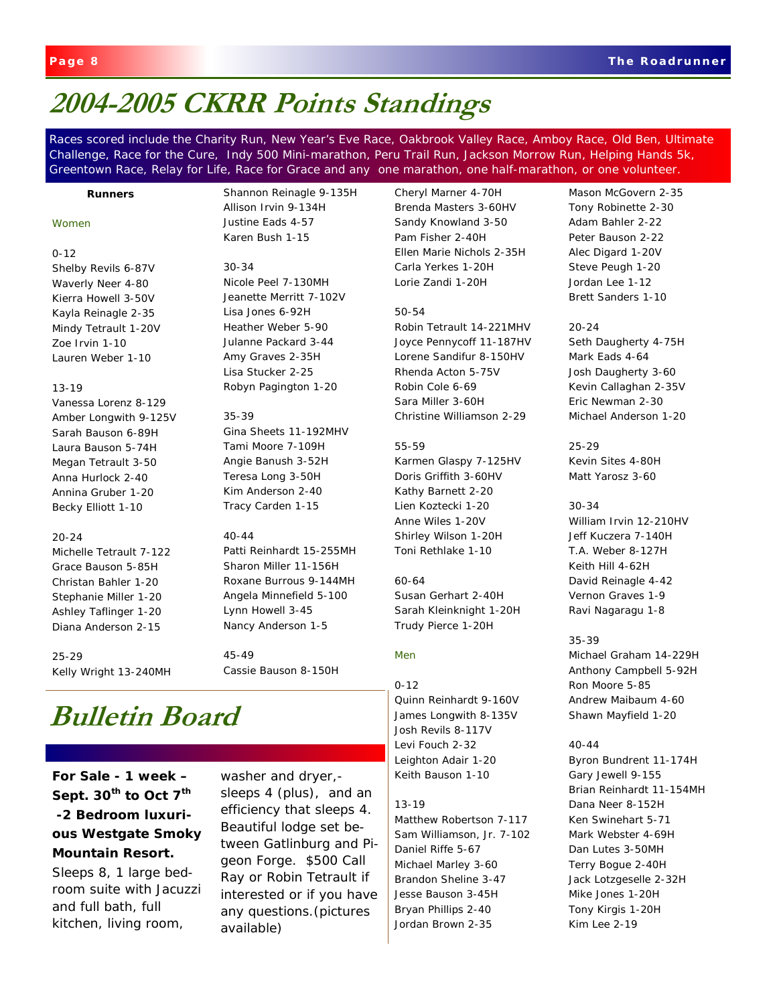### **2004-2005 CKRR Points Standings**

Races scored include the Charity Run, New Year's Eve Race, Oakbrook Valley Race, Amboy Race, Old Ben, Ultimate Challenge, Race for the Cure, Indy 500 Mini-marathon, Peru Trail Run, Jackson Morrow Run, Helping Hands 5k, Greentown Race, Relay for Life, Race for Grace and any one marathon, one half-marathon, or one volunteer.

#### **Runners**

#### *Women*

#### 0-12

Shelby Revils 6-87V Waverly Neer 4-80 Kierra Howell 3-50V Kayla Reinagle 2-35 Mindy Tetrault 1-20V Zoe Irvin 1-10 Lauren Weber 1-10

#### 13-19

Vanessa Lorenz 8-129 Amber Longwith 9-125V Sarah Bauson 6-89H Laura Bauson 5-74H Megan Tetrault 3-50 Anna Hurlock 2-40 Annina Gruber 1-20 Becky Elliott 1-10

#### 20-24

Michelle Tetrault 7-122 Grace Bauson 5-85H Christan Bahler 1-20 Stephanie Miller 1-20 Ashley Taflinger 1-20 Diana Anderson 2-15

25-29 Kelly Wright 13-240MH Shannon Reinagle 9-135H Allison Irvin 9-134H Justine Eads 4-57 Karen Bush 1-15

#### 30-34

Nicole Peel 7-130MH Jeanette Merritt 7-102V Lisa Jones 6-92H Heather Weber 5-90 Julanne Packard 3-44 Amy Graves 2-35H Lisa Stucker 2-25 Robyn Pagington 1-20

#### 35-39

Gina Sheets 11-192MHV Tami Moore 7-109H Angie Banush 3-52H Teresa Long 3-50H Kim Anderson 2-40 Tracy Carden 1-15

#### 40-44

Patti Reinhardt 15-255MH Sharon Miller 11-156H Roxane Burrous 9-144MH Angela Minnefield 5-100 Lynn Howell 3-45 Nancy Anderson 1-5

45-49 Cassie Bauson 8-150H

### **Bulletin Board**

### **For Sale - 1 week –**  Sept. 30<sup>th</sup> to Oct 7<sup>th</sup>  **-2 Bedroom luxurious Westgate Smoky Mountain Resort.**

Sleeps 8, 1 large bedroom suite with Jacuzzi and full bath, full kitchen, living room,

washer and dryer, sleeps 4 (plus), and an efficiency that sleeps 4. Beautiful lodge set between Gatlinburg and Pigeon Forge. \$500 Call Ray or Robin Tetrault if interested or if you have any questions.(pictures available)

Cheryl Marner 4-70H Brenda Masters 3-60HV Sandy Knowland 3-50 Pam Fisher 2-40H Ellen Marie Nichols 2-35H Carla Yerkes 1-20H Lorie Zandi 1-20H

#### 50-54

Robin Tetrault 14-221MHV Joyce Pennycoff 11-187HV Lorene Sandifur 8-150HV Rhenda Acton 5-75V Robin Cole 6-69 Sara Miller 3-60H Christine Williamson 2-29

#### 55-59

Karmen Glaspy 7-125HV Doris Griffith 3-60HV Kathy Barnett 2-20 Lien Koztecki 1-20 Anne Wiles 1-20V Shirley Wilson 1-20H Toni Rethlake 1-10

#### 60-64

Susan Gerhart 2-40H Sarah Kleinknight 1-20H Trudy Pierce 1-20H

#### *Men*

0-12 Quinn Reinhardt 9-160V James Longwith 8-135V Josh Revils 8-117V Levi Fouch 2-32 Leighton Adair 1-20 Keith Bauson 1-10

#### 13-19

Matthew Robertson 7-117 Sam Williamson, Jr. 7-102 Daniel Riffe 5-67 Michael Marley 3-60 Brandon Sheline 3-47 Jesse Bauson 3-45H Bryan Phillips 2-40 Jordan Brown 2-35

#### Mason McGovern 2-35 Tony Robinette 2-30 Adam Bahler 2-22 Peter Bauson 2-22 Alec Digard 1-20V Steve Peugh 1-20 Jordan Lee 1-12 Brett Sanders 1-10

#### 20-24

Seth Daugherty 4-75H Mark Eads 4-64 Josh Daugherty 3-60 Kevin Callaghan 2-35V Eric Newman 2-30 Michael Anderson 1-20

25-29 Kevin Sites 4-80H Matt Yarosz 3-60

30-34 William Irvin 12-210HV Jeff Kuczera 7-140H T.A. Weber 8-127H Keith Hill 4-62H David Reinagle 4-42 Vernon Graves 1-9 Ravi Nagaragu 1-8

#### 35-39

Michael Graham 14-229H Anthony Campbell 5-92H Ron Moore 5-85 Andrew Maibaum 4-60 Shawn Mayfield 1-20

#### 40-44

Byron Bundrent 11-174H Gary Jewell 9-155 Brian Reinhardt 11-154MH Dana Neer 8-152H Ken Swinehart 5-71 Mark Webster 4-69H Dan Lutes 3-50MH Terry Bogue 2-40H Jack Lotzgeselle 2-32H Mike Jones 1-20H Tony Kirgis 1-20H Kim Lee 2-19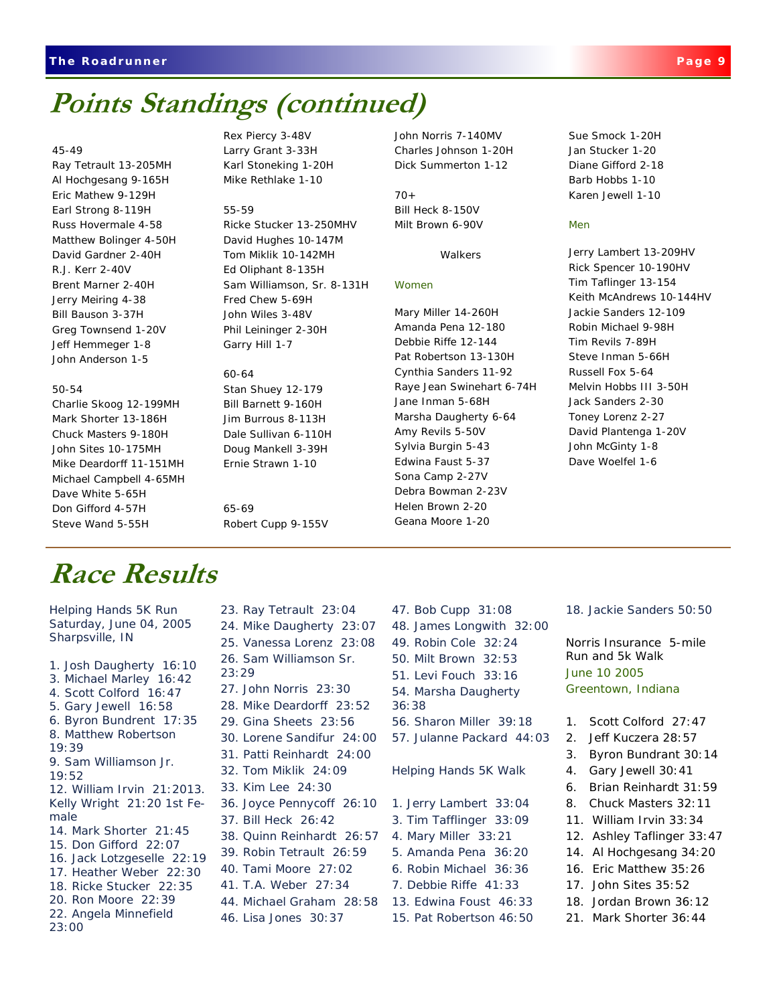## **Points Standings (continued)**

#### 45-49

Ray Tetrault 13-205MH Al Hochgesang 9-165H Eric Mathew 9-129H Earl Strong 8-119H Russ Hovermale 4-58 Matthew Bolinger 4-50H David Gardner 2-40H R.J. Kerr 2-40V Brent Marner 2-40H Jerry Meiring 4-38 Bill Bauson 3-37H Greg Townsend 1-20V Jeff Hemmeger 1-8 John Anderson 1-5

#### 50-54

Charlie Skoog 12-199MH Mark Shorter 13-186H Chuck Masters 9-180H John Sites 10-175MH Mike Deardorff 11-151MH Michael Campbell 4-65MH Dave White 5-65H Don Gifford 4-57H Steve Wand 5-55H

Rex Piercy 3-48V Larry Grant 3-33H Karl Stoneking 1-20H Mike Rethlake 1-10

#### 55-59

Ricke Stucker 13-250MHV David Hughes 10-147M Tom Miklik 10-142MH Ed Oliphant 8-135H Sam Williamson, Sr. 8-131H Fred Chew 5-69H John Wiles 3-48V Phil Leininger 2-30H Garry Hill 1-7

60-64 Stan Shuey 12-179 Bill Barnett 9-160H Jim Burrous 8-113H Dale Sullivan 6-110H Doug Mankell 3-39H Ernie Strawn 1-10

65-69 Robert Cupp 9-155V John Norris 7-140MV Charles Johnson 1-20H Dick Summerton 1-12

 $70<sub>+</sub>$ Bill Heck 8-150V Milt Brown 6-90V

**Walkers** 

#### *Women*

Mary Miller 14-260H Amanda Pena 12-180 Debbie Riffe 12-144 Pat Robertson 13-130H Cynthia Sanders 11-92 Raye Jean Swinehart 6-74H Jane Inman 5-68H Marsha Daugherty 6-64 Amy Revils 5-50V Sylvia Burgin 5-43 Edwina Faust 5-37 Sona Camp 2-27V Debra Bowman 2-23V Helen Brown 2-20 Geana Moore 1-20

Sue Smock 1-20H Jan Stucker 1-20 Diane Gifford 2-18 Barb Hobbs 1-10 Karen Jewell 1-10

#### *Men*

Jerry Lambert 13-209HV Rick Spencer 10-190HV Tim Taflinger 13-154 Keith McAndrews 10-144HV Jackie Sanders 12-109 Robin Michael 9-98H Tim Revils 7-89H Steve Inman 5-66H Russell Fox 5-64 Melvin Hobbs III 3-50H Jack Sanders 2-30 Toney Lorenz 2-27 David Plantenga 1-20V John McGinty 1-8 Dave Woelfel 1-6

### **Race Results**

Helping Hands 5K Run Saturday, June 04, 2005 Sharpsville, IN

1. Josh Daugherty 16:10 3. Michael Marley 16:42 4. Scott Colford 16:47 5. Gary Jewell 16:58 6. Byron Bundrent 17:35 8. Matthew Robertson 19:39 9. Sam Williamson Jr. 19:52 12. William Irvin 21:2013. Kelly Wright 21:20 1st Female 14. Mark Shorter 21:45 15. Don Gifford 22:07 16. Jack Lotzgeselle 22:19 17. Heather Weber 22:30 18. Ricke Stucker 22:35 20. Ron Moore 22:39 22. Angela Minnefield 23:00

23. Ray Tetrault 23:04 24. Mike Daugherty 23:07 25. Vanessa Lorenz 23:08 26. Sam Williamson Sr. 23:29 27. John Norris 23:30 28. Mike Deardorff 23:52 29. Gina Sheets 23:56 30. Lorene Sandifur 24:00 31. Patti Reinhardt 24:00 32. Tom Miklik 24:09 33. Kim Lee 24:30 36. Joyce Pennycoff 26:10 37. Bill Heck 26:42 38. Quinn Reinhardt 26:57 39. Robin Tetrault 26:59 40. Tami Moore 27:02 41. T.A. Weber 27:34 44. Michael Graham 28:58 46. Lisa Jones 30:37

47. Bob Cupp 31:08 48. James Longwith 32:00 49. Robin Cole 32:24

- 50. Milt Brown 32:53
- 51. Levi Fouch 33:16
- 54. Marsha Daugherty
- 36:38
- 56. Sharon Miller 39:18
- 57. Julanne Packard 44:03

#### Helping Hands 5K Walk

- 1. Jerry Lambert 33:04
- 3. Tim Tafflinger 33:09
- 4. Mary Miller 33:21
- 5. Amanda Pena 36:20
- 6. Robin Michael 36:36
- 7. Debbie Riffe 41:33
- 13. Edwina Foust 46:33
- 15. Pat Robertson 46:50

18. Jackie Sanders 50:50

Norris Insurance 5-mile Run and 5k Walk June 10 2005 Greentown, Indiana

- 1. Scott Colford 27:47
- 2. Jeff Kuczera 28:57
- 3. Byron Bundrant 30:14
- 4. Gary Jewell 30:41
- 6. Brian Reinhardt 31:59
- 8. Chuck Masters 32:11
- 11. William Irvin 33:34
- 12. Ashley Taflinger 33:47
- 14. Al Hochgesang 34:20
- 16. Eric Matthew 35:26
- 17. John Sites 35:52
- 18. Jordan Brown 36:12
- 21. Mark Shorter 36:44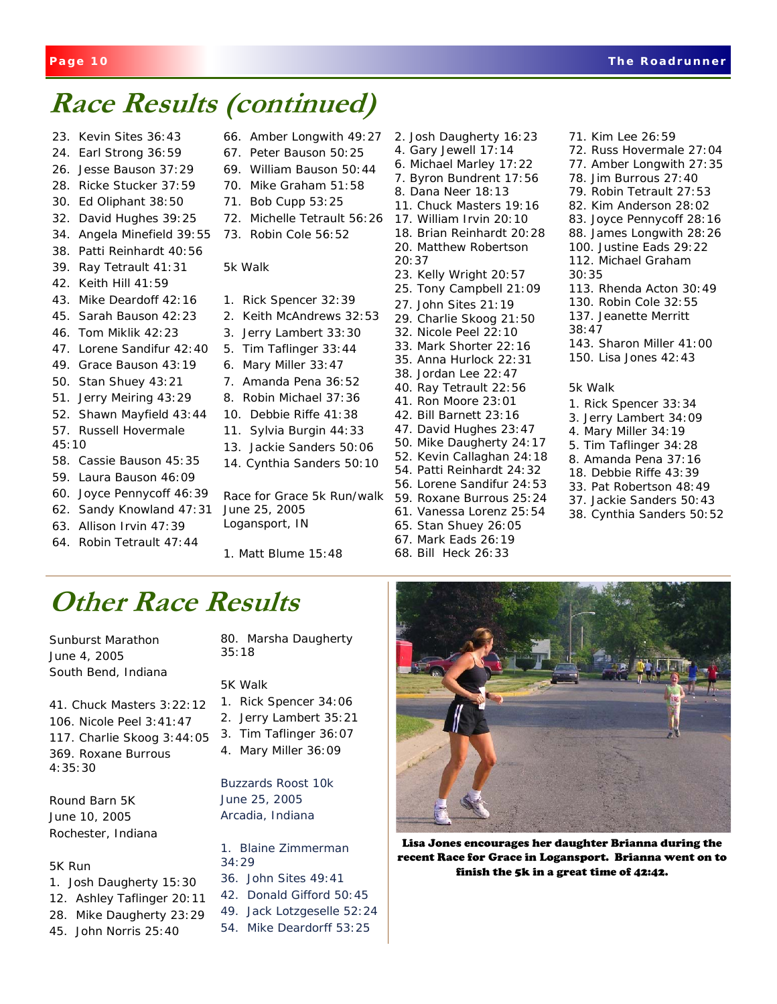## **Race Results (continued)**

- 23. Kevin Sites 36:43
- 24. Earl Strong 36:59
- 26. Jesse Bauson 37:29
- 28. Ricke Stucker 37:59
- 30. Ed Oliphant 38:50
- 32. David Hughes 39:25
- 34. Angela Minefield 39:55
- 38. Patti Reinhardt 40:56
- 39. Ray Tetrault 41:31
- 42. Keith Hill 41:59
- 43. Mike Deardoff 42:16
- 45. Sarah Bauson 42:23
- 46. Tom Miklik 42:23
- 47. Lorene Sandifur 42:40
- 49. Grace Bauson 43:19
- 50. Stan Shuey 43:21
- 51. Jerry Meiring 43:29
- 52. Shawn Mayfield 43:44
- 57. Russell Hovermale 45:10
- 58. Cassie Bauson 45:35
- 59. Laura Bauson 46:09
- 60. Joyce Pennycoff 46:39
- 62. Sandy Knowland 47:31
- 63. Allison Irvin 47:39
- 64. Robin Tetrault 47:44
- 66. Amber Longwith 49:27
- 67. Peter Bauson 50:25 69. William Bauson 50:44
- 70. Mike Graham 51:58
- 71. Bob Cupp 53:25
- 72. Michelle Tetrault 56:26
- 73. Robin Cole 56:52

#### 5k Walk

- 1. Rick Spencer 32:39
- 2. Keith McAndrews 32:53
- 3. Jerry Lambert 33:30
- 5. Tim Taflinger 33:44
- 6. Mary Miller 33:47
- 7. Amanda Pena 36:52
- 8. Robin Michael 37:36
- 10. Debbie Riffe 41:38
- 11. Sylvia Burgin 44:33
- 13. Jackie Sanders 50:06
- 14. Cynthia Sanders 50:10

Race for Grace 5k Run/walk June 25, 2005 Logansport, IN

1. Matt Blume 15:48

4. Gary Jewell 17:14 6. Michael Marley 17:22 7. Byron Bundrent 17:56 8. Dana Neer 18:13 11. Chuck Masters 19:16 17. William Irvin 20:10 18. Brian Reinhardt 20:28 20. Matthew Robertson 20:37 23. Kelly Wright 20:57 25. Tony Campbell 21:09 27. John Sites 21:19 29. Charlie Skoog 21:50 32. Nicole Peel 22:10 33. Mark Shorter 22:16 35. Anna Hurlock 22:31 38. Jordan Lee 22:47 40. Ray Tetrault 22:56 41. Ron Moore 23:01 42. Bill Barnett 23:16 47. David Hughes 23:47 50. Mike Daugherty 24:17 52. Kevin Callaghan 24:18 54. Patti Reinhardt 24:32 56. Lorene Sandifur 24:53 59. Roxane Burrous 25:24 61. Vanessa Lorenz 25:54 65. Stan Shuey 26:05 67. Mark Eads 26:19

2. Josh Daugherty 16:23

68. Bill Heck 26:33

# **Other Race Results**

Sunburst Marathon June 4, 2005 South Bend, Indiana

41. Chuck Masters 3:22:12 106. Nicole Peel 3:41:47 117. Charlie Skoog 3:44:05 369. Roxane Burrous 4:35:30

Round Barn 5K June 10, 2005 Rochester, Indiana

#### 5K Run

- 1. Josh Daugherty 15:30
- 12. Ashley Taflinger 20:11
- 28. Mike Daugherty 23:29
- 45. John Norris 25:40

80. Marsha Daugherty 35:18

#### 5K Walk

- 1. Rick Spencer 34:06
- 2. Jerry Lambert 35:21
- 3. Tim Taflinger 36:07
- 4. Mary Miller 36:09

Buzzards Roost 10k June 25, 2005 Arcadia, Indiana

1. Blaine Zimmerman 34:29

- 36. John Sites 49:41
- 42. Donald Gifford 50:45
- 49. Jack Lotzgeselle 52:24
- 54. Mike Deardorff 53:25



Lisa Jones encourages her daughter Brianna during the recent Race for Grace in Logansport. Brianna went on to finish the 5k in a great time of 42:42.

83. Joyce Pennycoff 28:16 88. James Longwith 28:26 100. Justine Eads 29:22 112. Michael Graham 30:35 113. Rhenda Acton 30:49 130. Robin Cole 32:55 137. Jeanette Merritt 38:47

71. Kim Lee 26:59

72. Russ Hovermale 27:04 77. Amber Longwith 27:35 78. Jim Burrous 27:40 79. Robin Tetrault 27:53 82. Kim Anderson 28:02

- 143. Sharon Miller 41:00
- 150. Lisa Jones 42:43

#### 5k Walk

- 1. Rick Spencer 33:34
- 3. Jerry Lambert 34:09
- 4. Mary Miller 34:19
- 5. Tim Taflinger 34:28 8. Amanda Pena 37:16
- 18. Debbie Riffe 43:39
- 33. Pat Robertson 48:49
- 37. Jackie Sanders 50:43
- 38. Cynthia Sanders 50:52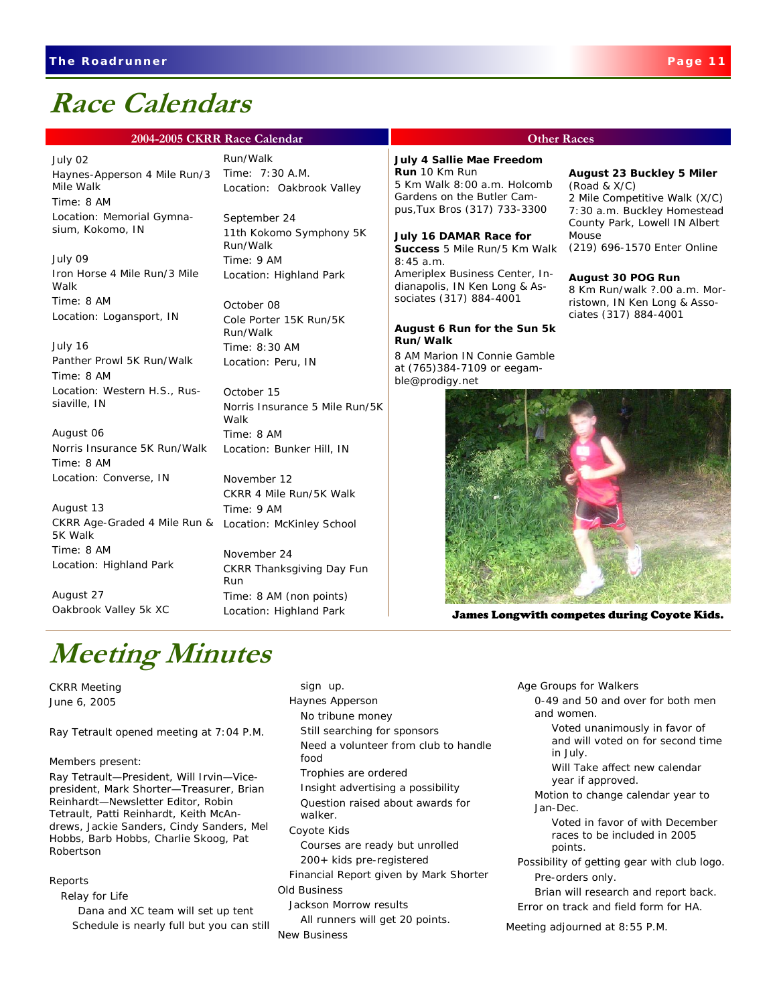### **Race Calendars**

#### **2004-2005 CKRR Race Calendar CHALL COMPUTER COMPUTER COMPUTER COMPUTER COMPUTER COMPUTER COMPUTER COMPUTER COMPUTER**

#### July 02

Haynes-Apperson 4 Mile Run/3 Mile Walk Time: 8 AM Location: Memorial Gymnasium, Kokomo, IN

July 09 Iron Horse 4 Mile Run/3 Mile Walk Time: 8 AM Location: Logansport, IN

July 16 Panther Prowl 5K Run/Walk Time: 8 AM Location: Western H.S., Russiaville, IN

August 06 Norris Insurance 5K Run/Walk Time: 8 AM Location: Converse, IN

CKRR Age-Graded 4 Mile Run & Location: McKinley School August 13 5K Walk Time: 8 AM Location: Highland Park

August 27 Oakbrook Valley 5k XC Run/Walk Time: 7:30 A.M. Location: Oakbrook Valley

September 24 11th Kokomo Symphony 5K Run/Walk Time: 9 AM Location: Highland Park

October 08 Cole Porter 15K Run/5K Run/Walk Time: 8:30 AM Location: Peru, IN

October 15 Norris Insurance 5 Mile Run/5K Walk Time: 8 AM Location: Bunker Hill, IN

November 12 CKRR 4 Mile Run/5K Walk Time: 9 AM

November 24 CKRR Thanksgiving Day Fun Run Time: 8 AM (non points) Location: Highland Park

## **Meeting Minutes**

CKRR Meeting June 6, 2005

Ray Tetrault opened meeting at 7:04 P.M.

Members present:

Ray Tetrault—President, Will Irvin—Vicepresident, Mark Shorter—Treasurer, Brian Reinhardt—Newsletter Editor, Robin Tetrault, Patti Reinhardt, Keith McAndrews, Jackie Sanders, Cindy Sanders, Mel Hobbs, Barb Hobbs, Charlie Skoog, Pat Robertson

Reports

Relay for Life

 Dana and XC team will set up tent Schedule is nearly full but you can still

sign up. Haynes Apperson No tribune money Still searching for sponsors Need a volunteer from club to handle food Trophies are ordered Insight advertising a possibility Question raised about awards for walker. Coyote Kids Courses are ready but unrolled 200+ kids pre-registered Financial Report given by Mark Shorter

Old Business Jackson Morrow results

 All runners will get 20 points. New Business

**July 4 Sallie Mae Freedom Run** 10 Km Run

5 Km Walk 8:00 a.m. Holcomb Gardens on the Butler Campus,Tux Bros (317) 733-3300

#### **July 16 DAMAR Race for**

**Success** 5 Mile Run/5 Km Walk 8:45 a.m. Ameriplex Business Center, Indianapolis, IN Ken Long & Associates (317) 884-4001

#### **August 6 Run for the Sun 5k Run/Walk**

8 AM Marion IN Connie Gamble at (765)384-7109 or eegamble@prodigy.net

#### **August 23 Buckley 5 Miler** (Road & X/C)

2 Mile Competitive Walk (X/C) 7:30 a.m. Buckley Homestead County Park, Lowell IN Albert Mouse (219) 696-1570 Enter Online

#### **August 30 POG Run**

8 Km Run/walk ?.00 a.m. Morristown, IN Ken Long & Associates (317) 884-4001



James Longwith competes during Coyote Kids.

 Age Groups for Walkers 0-49 and 50 and over for both men and women.

> Voted unanimously in favor of and will voted on for second time in July.

 Will Take affect new calendar year if approved.

 Motion to change calendar year to Jan-Dec.

 Voted in favor of with December races to be included in 2005 points.

 Possibility of getting gear with club logo. Pre-orders only.

 Brian will research and report back. Error on track and field form for HA.

Meeting adjourned at 8:55 P.M.